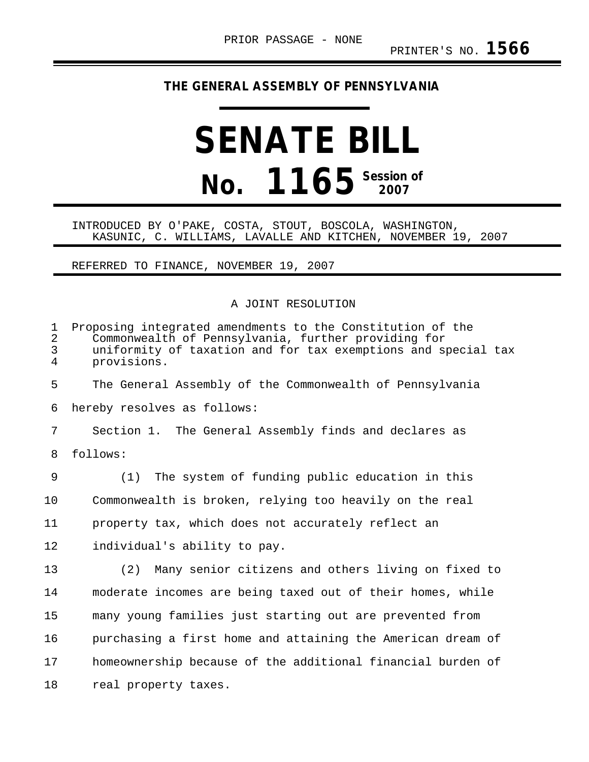## **THE GENERAL ASSEMBLY OF PENNSYLVANIA**

# **SENATE BILL No. 1165** Session of

### INTRODUCED BY O'PAKE, COSTA, STOUT, BOSCOLA, WASHINGTON, KASUNIC, C. WILLIAMS, LAVALLE AND KITCHEN, NOVEMBER 19, 2007

#### REFERRED TO FINANCE, NOVEMBER 19, 2007

### A JOINT RESOLUTION

| $\mathbf 1$<br>$\overline{2}$<br>3<br>$\overline{4}$ | Proposing integrated amendments to the Constitution of the<br>Commonwealth of Pennsylvania, further providing for<br>uniformity of taxation and for tax exemptions and special tax<br>provisions. |
|------------------------------------------------------|---------------------------------------------------------------------------------------------------------------------------------------------------------------------------------------------------|
| 5                                                    | The General Assembly of the Commonwealth of Pennsylvania                                                                                                                                          |
| 6                                                    | hereby resolves as follows:                                                                                                                                                                       |
| 7                                                    | Section 1. The General Assembly finds and declares as                                                                                                                                             |
| 8                                                    | follows:                                                                                                                                                                                          |
| 9                                                    | The system of funding public education in this<br>(1)                                                                                                                                             |
| 10                                                   | Commonwealth is broken, relying too heavily on the real                                                                                                                                           |
| 11                                                   | property tax, which does not accurately reflect an                                                                                                                                                |
| 12                                                   | individual's ability to pay.                                                                                                                                                                      |
| 13                                                   | (2) Many senior citizens and others living on fixed to                                                                                                                                            |
| 14                                                   | moderate incomes are being taxed out of their homes, while                                                                                                                                        |
| 15                                                   | many young families just starting out are prevented from                                                                                                                                          |
| 16                                                   | purchasing a first home and attaining the American dream of                                                                                                                                       |
| 17                                                   | homeownership because of the additional financial burden of                                                                                                                                       |
| 18                                                   | real property taxes.                                                                                                                                                                              |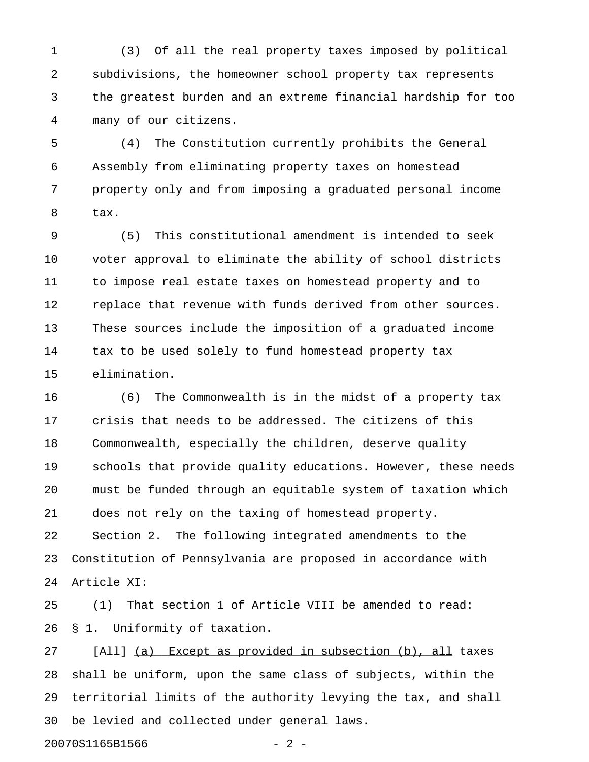1 (3) Of all the real property taxes imposed by political 2 subdivisions, the homeowner school property tax represents 3 the greatest burden and an extreme financial hardship for too 4 many of our citizens.

5 (4) The Constitution currently prohibits the General 6 Assembly from eliminating property taxes on homestead 7 property only and from imposing a graduated personal income 8 tax.

9 (5) This constitutional amendment is intended to seek 10 voter approval to eliminate the ability of school districts 11 to impose real estate taxes on homestead property and to 12 replace that revenue with funds derived from other sources. 13 These sources include the imposition of a graduated income 14 tax to be used solely to fund homestead property tax 15 elimination.

16 (6) The Commonwealth is in the midst of a property tax 17 crisis that needs to be addressed. The citizens of this 18 Commonwealth, especially the children, deserve quality 19 schools that provide quality educations. However, these needs 20 must be funded through an equitable system of taxation which 21 does not rely on the taxing of homestead property. 22 Section 2. The following integrated amendments to the 23 Constitution of Pennsylvania are proposed in accordance with 24 Article XI:

25 (1) That section 1 of Article VIII be amended to read: 26 § 1. Uniformity of taxation.

27 [All] (a) Except as provided in subsection (b), all taxes 28 shall be uniform, upon the same class of subjects, within the 29 territorial limits of the authority levying the tax, and shall 30 be levied and collected under general laws.

20070S1165B1566 - 2 -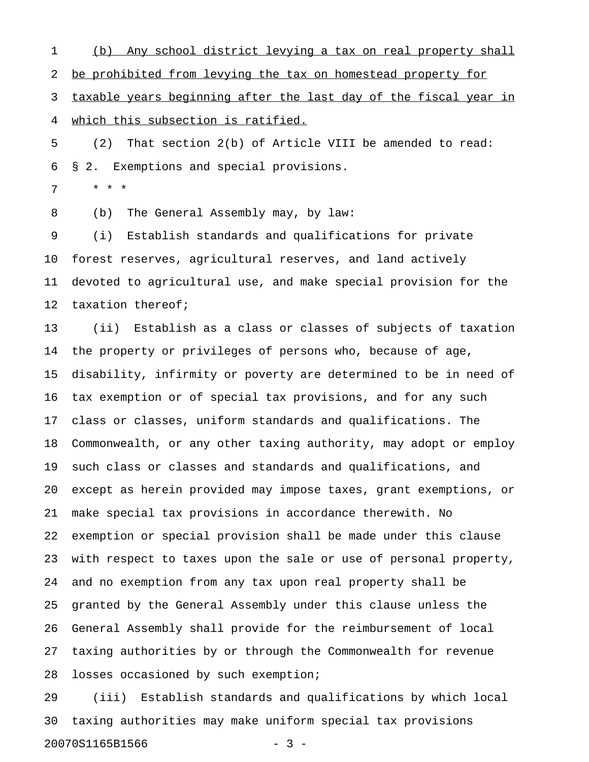1 (b) Any school district levying a tax on real property shall 2 be prohibited from levying the tax on homestead property for 3 taxable years beginning after the last day of the fiscal year in 4 which this subsection is ratified.

5 (2) That section 2(b) of Article VIII be amended to read: 6 § 2. Exemptions and special provisions.

7 \* \* \*

8 (b) The General Assembly may, by law:

9 (i) Establish standards and qualifications for private 10 forest reserves, agricultural reserves, and land actively 11 devoted to agricultural use, and make special provision for the 12 taxation thereof;

13 (ii) Establish as a class or classes of subjects of taxation 14 the property or privileges of persons who, because of age, 15 disability, infirmity or poverty are determined to be in need of 16 tax exemption or of special tax provisions, and for any such 17 class or classes, uniform standards and qualifications. The 18 Commonwealth, or any other taxing authority, may adopt or employ 19 such class or classes and standards and qualifications, and 20 except as herein provided may impose taxes, grant exemptions, or 21 make special tax provisions in accordance therewith. No 22 exemption or special provision shall be made under this clause 23 with respect to taxes upon the sale or use of personal property, 24 and no exemption from any tax upon real property shall be 25 granted by the General Assembly under this clause unless the 26 General Assembly shall provide for the reimbursement of local 27 taxing authorities by or through the Commonwealth for revenue 28 losses occasioned by such exemption;

29 (iii) Establish standards and qualifications by which local 30 taxing authorities may make uniform special tax provisions 20070S1165B1566 - 3 -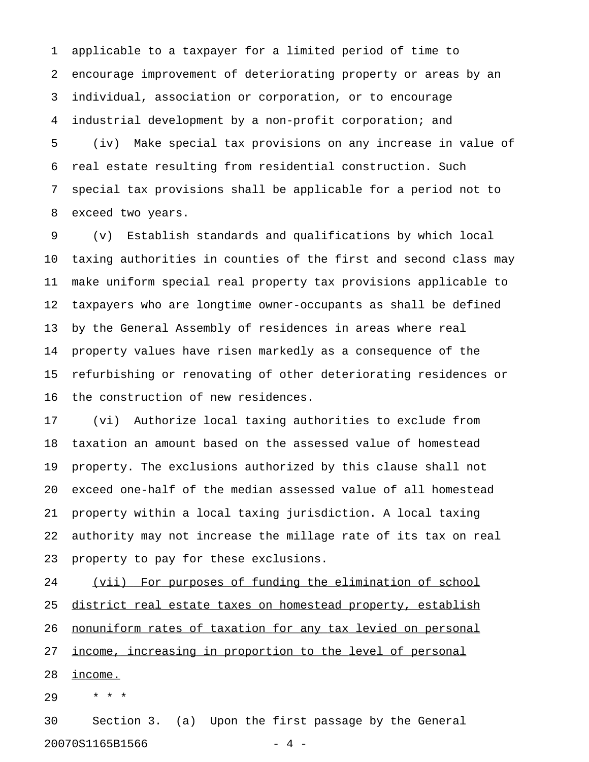1 applicable to a taxpayer for a limited period of time to 2 encourage improvement of deteriorating property or areas by an 3 individual, association or corporation, or to encourage 4 industrial development by a non-profit corporation; and 5 (iv) Make special tax provisions on any increase in value of 6 real estate resulting from residential construction. Such 7 special tax provisions shall be applicable for a period not to 8 exceed two years.

9 (v) Establish standards and qualifications by which local 10 taxing authorities in counties of the first and second class may 11 make uniform special real property tax provisions applicable to 12 taxpayers who are longtime owner-occupants as shall be defined 13 by the General Assembly of residences in areas where real 14 property values have risen markedly as a consequence of the 15 refurbishing or renovating of other deteriorating residences or 16 the construction of new residences.

17 (vi) Authorize local taxing authorities to exclude from 18 taxation an amount based on the assessed value of homestead 19 property. The exclusions authorized by this clause shall not 20 exceed one-half of the median assessed value of all homestead 21 property within a local taxing jurisdiction. A local taxing 22 authority may not increase the millage rate of its tax on real 23 property to pay for these exclusions.

24 (vii) For purposes of funding the elimination of school 25 district real estate taxes on homestead property, establish 26 nonuniform rates of taxation for any tax levied on personal 27 income, increasing in proportion to the level of personal 28 income.

29 \* \* \*

30 Section 3. (a) Upon the first passage by the General 20070S1165B1566 - 4 -